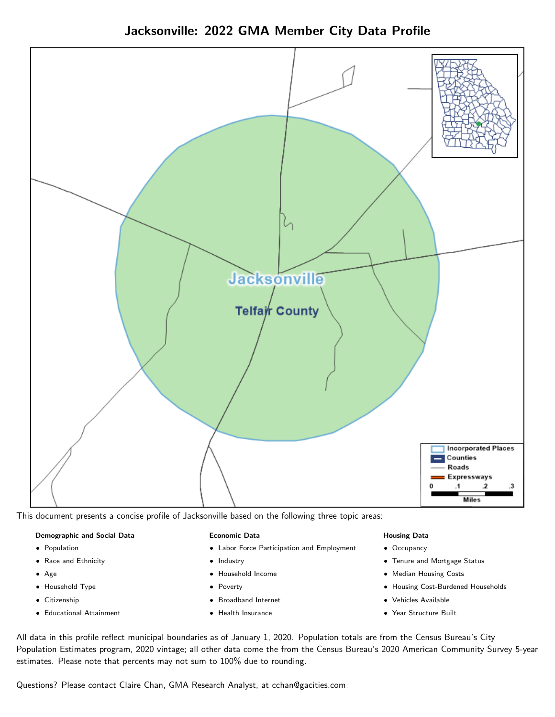Jacksonville: 2022 GMA Member City Data Profile



This document presents a concise profile of Jacksonville based on the following three topic areas:

#### Demographic and Social Data

- **•** Population
- Race and Ethnicity
- Age
- Household Type
- **Citizenship**
- Educational Attainment

#### Economic Data

- Labor Force Participation and Employment
- Industry
- Household Income
- Poverty
- Broadband Internet
- Health Insurance

#### Housing Data

- Occupancy
- Tenure and Mortgage Status
- Median Housing Costs
- Housing Cost-Burdened Households
- Vehicles Available
- Year Structure Built

All data in this profile reflect municipal boundaries as of January 1, 2020. Population totals are from the Census Bureau's City Population Estimates program, 2020 vintage; all other data come the from the Census Bureau's 2020 American Community Survey 5-year estimates. Please note that percents may not sum to 100% due to rounding.

Questions? Please contact Claire Chan, GMA Research Analyst, at [cchan@gacities.com.](mailto:cchan@gacities.com)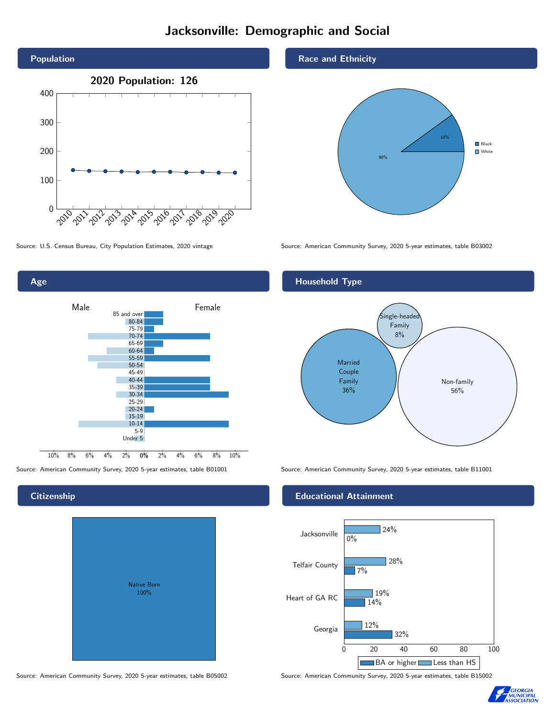## Jacksonville: Demographic and Social



Age 0% 2% 4% 6% 8% 10% Male **Female** 10% 8% 6% 4% 2% 85 and over 80-84 75-79 70-74 65-69 60-64 55-59 50-54 45-49 40-44 35-39 30-34 25-29 20-24 15-19 10-14 5-9 Under 5

# Native Born 100%

Race and Ethnicity



Source: U.S. Census Bureau, City Population Estimates, 2020 vintage Source: American Community Survey, 2020 5-year estimates, table B03002



Source: American Community Survey, 2020 5-year estimates, table B01001 Source: American Community Survey, 2020 5-year estimates, table B11001

#### Educational Attainment



Source: American Community Survey, 2020 5-year estimates, table B05002 Source: American Community Survey, 2020 5-year estimates, table B15002



#### **Citizenship**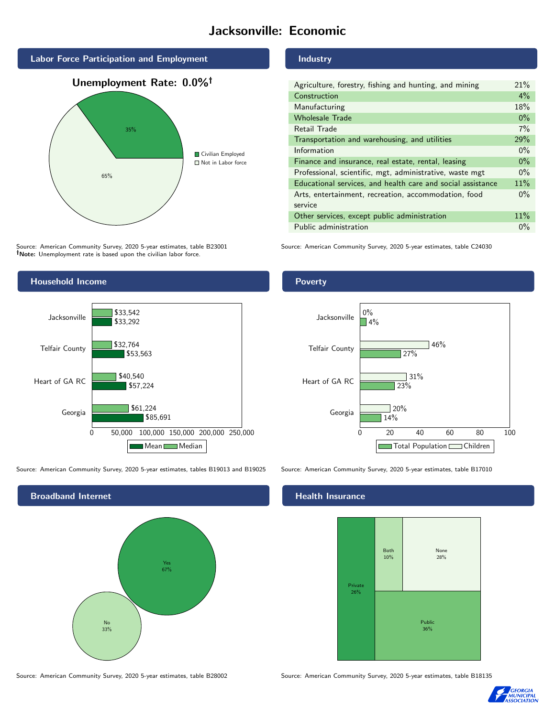## Jacksonville: Economic







Source: American Community Survey, 2020 5-year estimates, table B23001 Note: Unemployment rate is based upon the civilian labor force.



Mean Median

#### Source: American Community Survey, 2020 5-year estimates, tables B19013 and B19025 Source: American Community Survey, 2020 5-year estimates, table B17010



Industry

| Agriculture, forestry, fishing and hunting, and mining      | 21%   |
|-------------------------------------------------------------|-------|
| Construction                                                | $4\%$ |
| Manufacturing                                               | 18%   |
| <b>Wholesale Trade</b>                                      | $0\%$ |
| Retail Trade                                                | 7%    |
| Transportation and warehousing, and utilities               | 29%   |
| Information                                                 | $0\%$ |
| Finance and insurance, real estate, rental, leasing         | $0\%$ |
| Professional, scientific, mgt, administrative, waste mgt    | $0\%$ |
| Educational services, and health care and social assistance | 11%   |
| Arts, entertainment, recreation, accommodation, food        | $0\%$ |
| service                                                     |       |
| Other services, except public administration                | 11%   |
| Public administration                                       | $0\%$ |

Source: American Community Survey, 2020 5-year estimates, table C24030

#### Poverty



#### **Health Insurance**



Source: American Community Survey, 2020 5-year estimates, table B28002 Source: American Community Survey, 2020 5-year estimates, table B18135